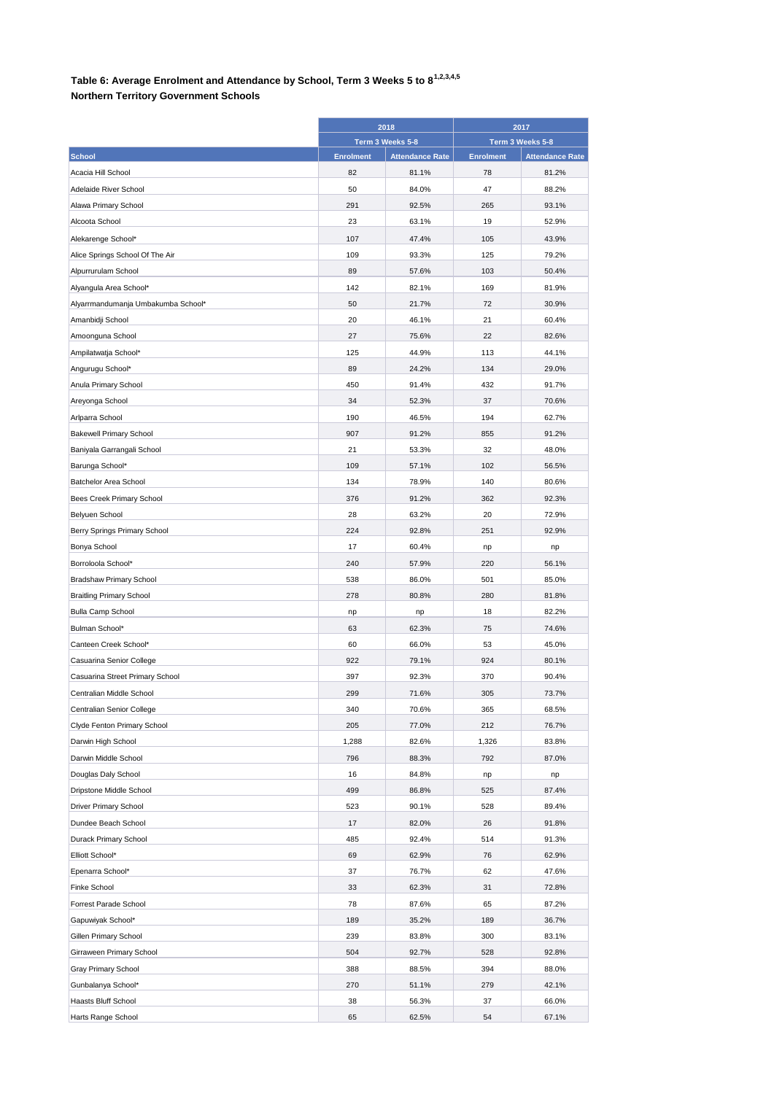## **Table 6: Average Enrolment and Attendance by School, Term 3 Weeks 5 to 81,2,3,4,5**

## **Northern Territory Government Schools**

|                                              | 2018<br>Term 3 Weeks 5-8 |                        | 2017<br>Term 3 Weeks 5-8 |                        |
|----------------------------------------------|--------------------------|------------------------|--------------------------|------------------------|
|                                              |                          |                        |                          |                        |
| <b>School</b>                                | <b>Enrolment</b>         | <b>Attendance Rate</b> | <b>Enrolment</b>         | <b>Attendance Rate</b> |
| Acacia Hill School                           | 82                       | 81.1%                  | 78                       | 81.2%                  |
| Adelaide River School                        | 50                       | 84.0%                  | 47                       | 88.2%                  |
| Alawa Primary School                         | 291                      | 92.5%                  | 265                      | 93.1%                  |
| Alcoota School                               | 23                       | 63.1%                  | 19                       | 52.9%                  |
| Alekarenge School*                           | 107                      | 47.4%                  | 105                      | 43.9%                  |
| Alice Springs School Of The Air              | 109                      | 93.3%                  | 125                      | 79.2%                  |
| Alpurrurulam School                          | 89                       | 57.6%                  | 103                      | 50.4%                  |
| Alyangula Area School*                       | 142                      | 82.1%                  | 169                      | 81.9%                  |
| Alyarrmandumanja Umbakumba School*           | 50                       | 21.7%                  | 72                       | 30.9%                  |
| Amanbidji School                             | 20                       | 46.1%                  | 21                       | 60.4%                  |
| Amoonguna School                             | 27                       | 75.6%                  | 22                       | 82.6%                  |
| Ampilatwatja School*                         | 125                      | 44.9%                  | 113                      | 44.1%                  |
| Angurugu School*                             | 89                       | 24.2%                  | 134                      | 29.0%                  |
| Anula Primary School                         | 450                      | 91.4%                  | 432                      | 91.7%                  |
| Areyonga School                              | 34                       | 52.3%                  | 37                       | 70.6%                  |
| Arlparra School                              | 190                      | 46.5%                  | 194                      | 62.7%                  |
| <b>Bakewell Primary School</b>               | 907                      | 91.2%                  | 855                      | 91.2%                  |
| Baniyala Garrangali School                   | 21                       | 53.3%                  | 32                       | 48.0%                  |
| Barunga School*                              | 109                      | 57.1%                  | 102                      | 56.5%                  |
| Batchelor Area School                        | 134                      | 78.9%                  | 140                      | 80.6%                  |
| Bees Creek Primary School                    | 376                      | 91.2%                  | 362                      | 92.3%                  |
| Belyuen School                               | 28                       | 63.2%                  | 20                       | 72.9%                  |
|                                              | 224                      | 92.8%                  | 251                      | 92.9%                  |
| Berry Springs Primary School<br>Bonya School | 17                       | 60.4%                  |                          |                        |
| Borroloola School*                           | 240                      | 57.9%                  | np<br>220                | np<br>56.1%            |
|                                              |                          |                        |                          |                        |
| <b>Bradshaw Primary School</b>               | 538                      | 86.0%                  | 501                      | 85.0%                  |
| <b>Braitling Primary School</b>              | 278                      | 80.8%                  | 280                      | 81.8%                  |
| <b>Bulla Camp School</b>                     | np<br>63                 | np                     | 18                       | 82.2%                  |
| Bulman School*                               |                          | 62.3%                  | 75                       | 74.6%                  |
| Canteen Creek School*                        | 60                       | 66.0%                  | 53<br>924                | 45.0%                  |
| Casuarina Senior College                     | 922                      | 79.1%                  |                          | 80.1%                  |
| Casuarina Street Primary School              | 397                      | 92.3%<br>71.6%         | 370                      | 90.4%                  |
| Centralian Middle School                     | 299                      |                        | 305                      | 73.7%                  |
| Centralian Senior College                    | 340                      | 70.6%                  | 365                      | 68.5%                  |
| Clyde Fenton Primary School                  | 205                      | 77.0%                  | 212                      | 76.7%                  |
| Darwin High School                           | 1,288                    | 82.6%                  | 1,326                    | 83.8%                  |
| Darwin Middle School                         | 796                      | 88.3%                  | 792                      | 87.0%                  |
| Douglas Daly School                          | 16                       | 84.8%                  | np                       | np                     |
| Dripstone Middle School                      | 499                      | 86.8%                  | 525                      | 87.4%                  |
| Driver Primary School                        | 523                      | 90.1%                  | 528                      | 89.4%                  |
| Dundee Beach School                          | 17                       | 82.0%                  | 26                       | 91.8%                  |
| Durack Primary School                        | 485                      | 92.4%                  | 514                      | 91.3%                  |
| Elliott School*                              | 69                       | 62.9%                  | 76                       | 62.9%                  |
| Epenarra School*                             | 37                       | 76.7%                  | 62                       | 47.6%                  |
| Finke School                                 | 33                       | 62.3%                  | 31                       | 72.8%                  |
| Forrest Parade School                        | 78                       | 87.6%                  | 65                       | 87.2%                  |
| Gapuwiyak School*                            | 189                      | 35.2%                  | 189                      | 36.7%                  |
| Gillen Primary School                        | 239                      | 83.8%                  | 300                      | 83.1%                  |
| Girraween Primary School                     | 504                      | 92.7%                  | 528                      | 92.8%                  |
| Gray Primary School                          | 388                      | 88.5%                  | 394                      | 88.0%                  |
| Gunbalanya School*                           | 270                      | 51.1%                  | 279                      | 42.1%                  |
| Haasts Bluff School                          | 38                       | 56.3%                  | 37                       | 66.0%                  |
| Harts Range School                           | 65                       | 62.5%                  | 54                       | 67.1%                  |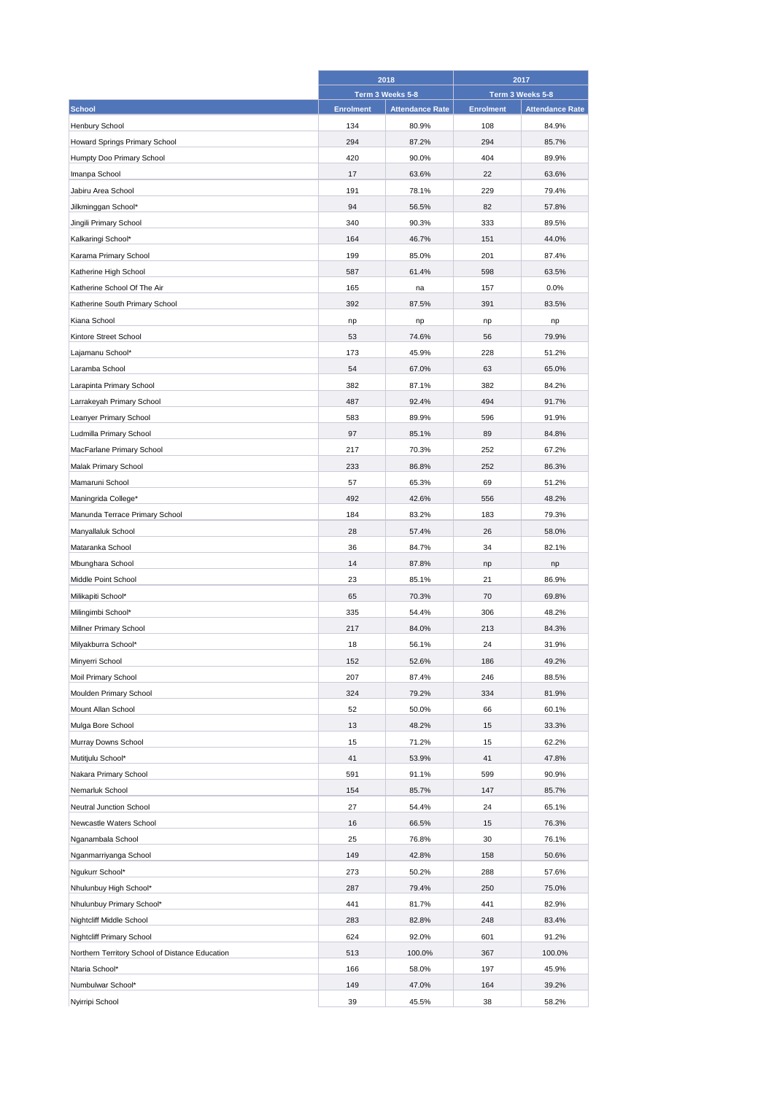|                                                 | 2018             |                        | 2017             |                        |
|-------------------------------------------------|------------------|------------------------|------------------|------------------------|
|                                                 |                  | Term 3 Weeks 5-8       | Term 3 Weeks 5-8 |                        |
| <b>School</b>                                   | <b>Enrolment</b> | <b>Attendance Rate</b> | <b>Enrolment</b> | <b>Attendance Rate</b> |
| <b>Henbury School</b>                           | 134              | 80.9%                  | 108              | 84.9%                  |
| Howard Springs Primary School                   | 294              | 87.2%                  | 294              | 85.7%                  |
| Humpty Doo Primary School                       | 420              | 90.0%                  | 404              | 89.9%                  |
| Imanpa School                                   | 17               | 63.6%                  | 22               | 63.6%                  |
| Jabiru Area School                              | 191              | 78.1%                  | 229              | 79.4%                  |
| Jilkminggan School*                             | 94               | 56.5%                  | 82               | 57.8%                  |
| Jingili Primary School                          | 340              | 90.3%                  | 333              | 89.5%                  |
| Kalkaringi School*                              | 164              | 46.7%                  | 151              | 44.0%                  |
| Karama Primary School                           | 199              | 85.0%                  | 201              | 87.4%                  |
| Katherine High School                           | 587              | 61.4%                  | 598              | 63.5%                  |
| Katherine School Of The Air                     | 165              | na                     | 157              | 0.0%                   |
| Katherine South Primary School                  | 392              | 87.5%                  | 391              | 83.5%                  |
| Kiana School                                    | np               | np                     | np               | np                     |
| Kintore Street School                           | 53               | 74.6%                  | 56               | 79.9%                  |
|                                                 | 173              | 45.9%                  | 228              | 51.2%                  |
| Lajamanu School*                                |                  |                        |                  |                        |
| Laramba School                                  | 54               | 67.0%                  | 63               | 65.0%                  |
| Larapinta Primary School                        | 382              | 87.1%                  | 382              | 84.2%                  |
| Larrakeyah Primary School                       | 487              | 92.4%                  | 494              | 91.7%                  |
| Leanyer Primary School                          | 583              | 89.9%                  | 596              | 91.9%                  |
| Ludmilla Primary School                         | 97               | 85.1%                  | 89               | 84.8%                  |
| MacFarlane Primary School                       | 217              | 70.3%                  | 252              | 67.2%                  |
| Malak Primary School                            | 233              | 86.8%                  | 252              | 86.3%                  |
| Mamaruni School                                 | 57               | 65.3%                  | 69               | 51.2%                  |
| Maningrida College*                             | 492              | 42.6%                  | 556              | 48.2%                  |
| Manunda Terrace Primary School                  | 184              | 83.2%                  | 183              | 79.3%                  |
| Manyallaluk School                              | 28               | 57.4%                  | 26               | 58.0%                  |
| Mataranka School                                | 36               | 84.7%                  | 34               | 82.1%                  |
| Mbunghara School                                | 14               | 87.8%                  | np               | np                     |
| Middle Point School                             | 23               | 85.1%                  | 21               | 86.9%                  |
| Milikapiti School*                              | 65               | 70.3%                  | 70               | 69.8%                  |
| Milingimbi School*                              | 335              | 54.4%                  | 306              | 48.2%                  |
| Millner Primary School                          | 217              | 84.0%                  | 213              | 84.3%                  |
| Milyakburra School*                             | 18               | 56.1%                  | 24               | 31.9%                  |
| Minyerri School                                 | 152              | 52.6%                  | 186              | 49.2%                  |
| Moil Primary School                             | 207              | 87.4%                  | 246              | 88.5%                  |
| Moulden Primary School                          | 324              | 79.2%                  | 334              | 81.9%                  |
| Mount Allan School                              | 52               | 50.0%                  | 66               | 60.1%                  |
| Mulga Bore School                               | 13               | 48.2%                  | 15               | 33.3%                  |
| Murray Downs School                             | 15               | 71.2%                  | 15               | 62.2%                  |
| Mutitjulu School*                               | 41               | 53.9%                  | 41               | 47.8%                  |
| Nakara Primary School                           | 591              | 91.1%                  | 599              | 90.9%                  |
| Nemarluk School                                 | 154              | 85.7%                  | 147              | 85.7%                  |
| Neutral Junction School                         | 27               | 54.4%                  | 24               | 65.1%                  |
| Newcastle Waters School                         | 16               | 66.5%                  | 15               | 76.3%                  |
| Nganambala School                               | 25               | 76.8%                  | 30               | 76.1%                  |
| Nganmarriyanga School                           | 149              | 42.8%                  | 158              | 50.6%                  |
| Ngukurr School*                                 | 273              | 50.2%                  | 288              | 57.6%                  |
|                                                 |                  |                        |                  |                        |
| Nhulunbuy High School*                          | 287              | 79.4%                  | 250              | 75.0%                  |
| Nhulunbuy Primary School*                       | 441              | 81.7%                  | 441              | 82.9%                  |
| Nightcliff Middle School                        | 283              | 82.8%                  | 248              | 83.4%                  |
| <b>Nightcliff Primary School</b>                | 624              | 92.0%                  | 601              | 91.2%                  |
| Northern Territory School of Distance Education | 513              | 100.0%                 | 367              | 100.0%                 |
| Ntaria School*                                  | 166              | 58.0%                  | 197              | 45.9%                  |
| Numbulwar School*                               | 149              | 47.0%                  | 164              | 39.2%                  |
| Nyirripi School                                 | 39               | 45.5%                  | 38               | 58.2%                  |